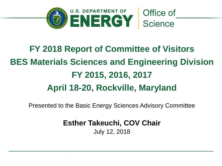

# **FY 2018 Report of Committee of Visitors BES Materials Sciences and Engineering Division FY 2015, 2016, 2017 April 18-20, Rockville, Maryland**

Presented to the Basic Energy Sciences Advisory Committee

**Esther Takeuchi, COV Chair**

July 12, 2018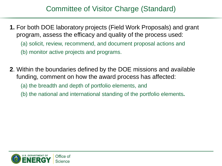#### Committee of Visitor Charge (Standard)

- **1.** For both DOE laboratory projects (Field Work Proposals) and grant program, assess the efficacy and quality of the process used: (a) solicit, review, recommend, and document proposal actions and (b) monitor active projects and programs.
- **2**. Within the boundaries defined by the DOE missions and available funding, comment on how the award process has affected:

(a) the breadth and depth of portfolio elements, and

(b) the national and international standing of the portfolio elements**.**

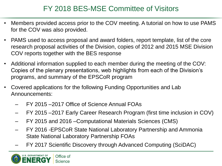### FY 2018 BES-MSE Committee of Visitors

- Members provided access prior to the COV meeting. A tutorial on how to use PAMS for the COV was also provided.
- PAMS used to access proposal and award folders, report template, list of the core research proposal activities of the Division, copies of 2012 and 2015 MSE Division COV reports together with the BES response
- Additional information supplied to each member during the meeting of the COV: Copies of the plenary presentations, web highlights from each of the Division's programs, and summary of the EPSCoR program
- Covered applications for the following Funding Opportunities and Lab Announcements:
	- FY 2015 –2017 Office of Science Annual FOAs
	- FY 2015 –2017 Early Career Research Program (first time inclusion in COV)
	- FY 2015 and 2016 –Computational Materials Sciences (CMS)
	- FY 2016 -EPSCoR State National Laboratory Partnership and Ammonia State National Laboratory Partnership FOAs
	- FY 2017 Scientific Discovery through Advanced Computing (SciDAC)

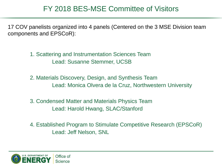#### FY 2018 BES-MSE Committee of Visitors

17 COV panelists organized into 4 panels (Centered on the 3 MSE Division team components and EPSCoR):

> 1. Scattering and Instrumentation Sciences Team Lead: Susanne Stemmer, UCSB

2. Materials Discovery, Design, and Synthesis Team Lead: Monica Olvera de la Cruz, Northwestern University

3. Condensed Matter and Materials Physics Team Lead: Harold Hwang, SLAC/Stanford

4. Established Program to Stimulate Competitive Research (EPSCoR) Lead: Jeff Nelson, SNL

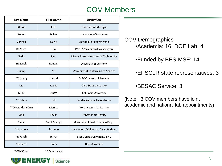#### COV Members

| <b>Last Name</b>    | <b>First Name</b> | <b>Affiliation</b>                      |
|---------------------|-------------------|-----------------------------------------|
| Allison             | John              | University of Michigan                  |
| Bobey               | Svilen            | University of Delaware                  |
| Bonnell             | Dawn              | University of Pennsylvania              |
| DeYoreo             | Jim               | PNNL/University of Washington           |
| Gedik               | Nuh               | Massachusetts Institute of Technology   |
| Headrick            | Randall           | University of Vermont                   |
| Huang               | Yu                | University of California, Los Angeles   |
| **Hwang             | Harold            | <b>SLAC/Stanford University</b>         |
| Lau                 | Jeanie            | Ohio State University                   |
| Millis              | Andy              | Columbia University                     |
| **Nelson            | Jeff              | Sandia National Laboratories            |
| **Olvera de la Cruz | Monica            | Northwestern University                 |
| Ong                 | Phuan             | Princeton University                    |
| Sinha               | Sunil (Sunny)     | University of California, San Diego     |
| **Stemmer           | Susanne           | University of California, Santa Barbara |
| *Takeuchi           | Esther            | Stony Brook University/ BNL             |
| Yakobson            | <b>Boris</b>      | <b>Rice University</b>                  |

COV Demographics •Academia: 16; DOE Lab: 4

•Funded by BES-MSE: 14

•EPSCoR state representatives: 3

•BESAC Service: 3

(Note: 3 COV members have joint academic and national lab appointments)

\* COV Chair

\*\* Panel Leads

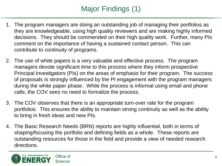# Major Findings (1)

- 1. The program managers are doing an outstanding job of managing their portfolios as they are knowledgeable, using high quality reviewers and are making highly informed decisions. They should be commended on their high quality work. Further, many PIs comment on the importance of having a sustained contact person. This can contribute to continuity of programs.
- 2. The use of white papers is a very valuable and effective process. The program managers devote significant time to this process where they inform prospective Principal Investigators (PIs) on the areas of emphasis for their program. The success of proposals is strongly influenced by the PI engagement with the program managers during the white paper phase. While the process is informal using email and phone calls, the COV sees no need to formalize the process.
- 3. The COV observes that there is an appropriate turn-over rate for the program portfolios. This ensures the ability to maintain strong continuity as well as the ability to bring in fresh ideas and new PIs.
- 4. The Basic Research Needs (BRN) reports are highly influential, both in terms of shaping/focusing the portfolio and defining fields as a whole. These reports are outstanding resources for those in the field and provide a view of needed research directions.

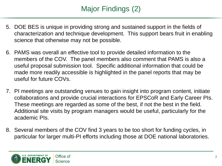# Major Findings (2)

- 5. DOE BES is unique in providing strong and sustained support in the fields of characterization and technique development. This support bears fruit in enabling science that otherwise may not be possible.
- 6. PAMS was overall an effective tool to provide detailed information to the members of the COV. The panel members also comment that PAMS is also a useful proposal submission tool. Specific additional information that could be made more readily accessible is highlighted in the panel reports that may be useful for future COVs.
- 7. PI meetings are outstanding venues to gain insight into program content, initiate collaborations and provide crucial interactions for EPSCoR and Early Career PIs. These meetings are regarded as some of the best, if not the best in the field. Additional site visits by program managers would be useful, particularly for the academic PIs.
- 8. Several members of the COV find 3 years to be too short for funding cycles, in particular for larger multi-PI efforts including those at DOE national laboratories.

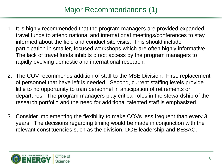## Major Recommendations (1)

- 1. It is highly recommended that the program managers are provided expanded travel funds to attend national and international meetings/conferences to stay informed about the field and conduct site visits. This should include participation in smaller, focused workshops which are often highly informative. The lack of travel funds inhibits direct access by the program managers to rapidly evolving domestic and international research.
- 2. The COV recommends addition of staff to the MSE Division. First, replacement of personnel that have left is needed. Second, current staffing levels provide little to no opportunity to train personnel in anticipation of retirements or departures. The program managers play critical roles in the stewardship of the research portfolio and the need for additional talented staff is emphasized.
- 3. Consider implementing the flexibility to make COVs less frequent than every 3 years. The decisions regarding timing would be made in conjunction with the relevant constituencies such as the division, DOE leadership and BESAC.

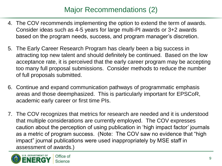## Major Recommendations (2)

- 4. The COV recommends implementing the option to extend the term of awards. Consider ideas such as 4-5 years for large multi-PI awards or 3+2 awards based on the program needs, success, and program manager's discretion.
- 5. The Early Career Research Program has clearly been a big success in attracting top new talent and should definitely be continued. Based on the low acceptance rate, it is perceived that the early career program may be accepting too many full proposal submissions. Consider methods to reduce the number of full proposals submitted.
- 6. Continue and expand communication pathways of programmatic emphasis areas and those deemphasized. This is particularly important for EPSCoR, academic early career or first time PIs.
- 7. The COV recognizes that metrics for research are needed and it is understood that multiple considerations are currently employed. The COV expresses caution about the perception of using publication in 'high impact factor' journals as a metric of program success. (Note: The COV saw no evidence that "high impact" journal publications were used inappropriately by MSE staff in assessment of awards.)

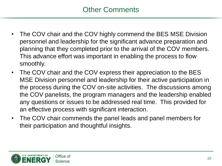- The COV chair and the COV highly commend the BES MSE Division personnel and leadership for the significant advance preparation and planning that they completed prior to the arrival of the COV members. This advance effort was important in enabling the process to flow smoothly.
- The COV chair and the COV express their appreciation to the BES MSE Division personnel and leadership for their active participation in the process during the COV on-site activities. The discussions among the COV panelists, the program managers and the leadership enabled any questions or issues to be addressed real time. This provided for an effective process with significant interaction.
- The COV chair commends the panel leads and panel members for their participation and thoughtful insights.